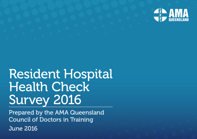

# Resident Hospital Health Check Survey 2016

Prepared by the AMA Queensland Council of Doctors in Training June 2016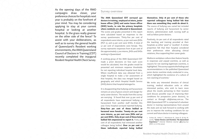As the opening days of the RMO campaigns draw closer, your preference choices for hospitals next year is probably on the forefront of your mind. You may be considering applying to stay at your current hospital or looking at another hospital. Is the grass really greener on the other side of the fence? To assist with your deliberations, as well as to survey the general health of Queensland's Resident working environments, the AMA Queensland Council of Doctors in Training (CDT) recently completed the inaugural *Resident Hospital Health Check Survey*.

### Survey overview

The AMA Queensland CDT surveyed 350 doctors in training, employed at intern, junior house officer (THO) and senior house officer (SHO) levels, to rate the primary hospitals where residents are allocated in Queensland. The scores and grades presented in this report were calculated based on responses to the survey questionnaire. Thirty-five per cent of respondents were interns, 42 per cent were JHOs (PGY 2), and 23 per cent were SHOs. A total of 57 per cent of respondents were female. This survey represents responses from 16 per cent of the approximately 2,200 interns, JHOs and SHOs working in Queensland.

A working group of the AMA Queensland CDT made a priori decisions on how each score would be calculated, how the grades would be presented and minimum response thresholds for not reporting individual hospital level data. Where insufficient data was obtained from a single hospital to make a fair assessment of that hospital, the data was merged based on geography and which Hospital Health Service (HHS) district that hospital belonged to.

It is disappointing that bullying and harassment remains an area of grave concern and danger for early career doctors. The results from this survey are worrying. It found that over 33 per cent of all respondents have experienced bullying or harassment from another staff member this year. Every hospital surveyed reported bullying. Sixty-four per cent of those bullied or harassed were females. Twenty-six per cent were interns, 44 per cent were JHOs and 30 per cent SHOs. Only 26 per cent of those being bullied felt empowered to report it. Forty per cent of all respondents had witnessed another colleague being bullied. Over 70 per cent of these individuals reported being bullied

themselves. Only 18 per cent of those who reported colleagues being bullied felt that there was something they could do about it. The source of bullying was varied but included reports of bullying and harassment by senior doctors, administration staff, nursing staff as well as fellow junior doctors.

Positively, 60 per cent of all respondents rated the teaching and training provided at their hospitals as either *'good'* or *'excellent'.* A similar proportion felt that their hospital considered their preferences when allocating clinical rotations, thus supporting their career goals.

Mediocre workplace culture does feature heavily in responses and unpaid overtime, as well as reasons for not claiming legitimate overtime, is highlighted. This survey supports the findings and recommendations in the published Queensland junior doctor overtime study conducted in 2014, which highlighted the existence of a culture of non-claiming of overtime.<sup>1</sup>

We invite any interested directors of clinical training, medical education units or other interested parties, who wish to learn more about the results pertaining to their location (and discuss possible ways of improving their conditions for prospective junior doctors), to contact us through cdt@amaq.com.au. The AMA Queensland CDT is comprised of volunteer doctor in training representatives from around the state and we look forward to working with you to improve the working conditions for our current and future doctor in training colleagues.

1 Forbes M., Arthur T., Manoharan B., Jones R. & Kay M. (2016), "Junior Doctors and Overtime: The Queensland Experience." Internal Medicine Journal 46(5):635-637 (DOI: 10.1111/imj.13032)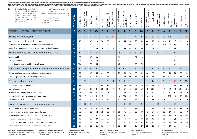#### Central West, South West, Torres and Cape Hospital Health Service Districts are excluded from the survey as there are no primary Doctor in Training allocations.

Whist responses were received from Greenslopes, Caboolture, Logan, Redlands and Queen Elizabeth II Jubilee Hospitals, insufficient responses were received to fairly present their individual scores. Where appropriate their

| <b>NA</b>                                                       | Not Applicable. For example: In<br>the Bullying and Harassment<br>Section, if no incidents were<br>then<br>reported,<br>there<br>was<br>no applicable score for the<br>appropriable addressing of<br>these incidents. | 0% of respondents agreed with<br>$\mathbf{o}$<br>the statement.<br><b>Blanks</b><br>Data available was not sufficient<br>to make a fair representation of<br>relevant Hospital.<br>All data points are presented as<br>percentages. | <b>OVERALL</b><br>alD | Townsville HHS | (Toowoomba Hospital)<br>Darling Downs HHS | Sunshine Coast HHS | Gold Coast HHS | Mackay HHS | $\overline{6}$<br>Hospital)<br>Moreton HH<br>(Ipswich<br>West | Central Queensland<br>ŠНH | Cairns and Hinterland<br>ЯHН | Ë<br>ЯĦ<br>Hospital)<br>West I<br>North<br>Isa Ho | Metro South HHS | Metro North HHS | Wide Bay HHS | Hervey Bay &<br>Maryborough Hospitals | Bundaberg Hospital | and<br>Hospital<br>Royal Brisbane a<br>Women's Hospit | Redcliffe Hospital | Charles<br>Prince<br>Hospital<br>The | Princess Alexandra<br>Hospital | Mater Hospital | Cilento Children's<br>Lady Cile<br>Hospital |
|-----------------------------------------------------------------|-----------------------------------------------------------------------------------------------------------------------------------------------------------------------------------------------------------------------|-------------------------------------------------------------------------------------------------------------------------------------------------------------------------------------------------------------------------------------|-----------------------|----------------|-------------------------------------------|--------------------|----------------|------------|---------------------------------------------------------------|---------------------------|------------------------------|---------------------------------------------------|-----------------|-----------------|--------------|---------------------------------------|--------------------|-------------------------------------------------------|--------------------|--------------------------------------|--------------------------------|----------------|---------------------------------------------|
| <b>OVERALL HOSPITAL CULTURE GRADE</b>                           |                                                                                                                                                                                                                       |                                                                                                                                                                                                                                     | $\mathbf B$           | C+             | $C+$                                      | $B -$              | $C+$           | C          | A-                                                            | B                         | A-                           | B                                                 | $C+$            | $B+$            | $B+$         | B                                     | A-                 | $\overline{B}$                                        | A                  | B                                    | $C+$                           | $B+$           | $B -$                                       |
| Access to annual leave                                          |                                                                                                                                                                                                                       | $\overline{C}$                                                                                                                                                                                                                      | $\mathsf{C}$          | $C-$           | $C-$                                      | Ċ-                 | D              | $C+$       | $\mathbb{C}$                                                  | $C-$                      | $C-$                         | С-                                                | С               | $B -$           | B            | $B -$                                 | $C-$               | A                                                     | $C+$               | $C-$                                 | $C -$                          | $D+$           |                                             |
| Ability to take annual leave in a flexible manner               |                                                                                                                                                                                                                       | 29                                                                                                                                                                                                                                  | 45                    | 11             | 40                                        | 10                 | 50             | 50         | 11                                                            | $\mathbf 0$               | 44                           | 20                                                | 29              | 59              | 64           | 50                                    | 10                 | 100                                                   | 42                 | 5                                    | $\mathbf 0$                    | 60             |                                             |
| Agree that your preferences were taken into consideration       |                                                                                                                                                                                                                       | 61                                                                                                                                                                                                                                  | 65                    | 78             | 55                                        | 60                 | 14             | 64         | 56                                                            | 60                        | 56                           | 60                                                | 66              | 86              | 86           | 88                                    | 59                 | 100                                                   | 67                 | 65                                   | 50                             | 50             |                                             |
| Annual leave application was approved/denied in a timely manner |                                                                                                                                                                                                                       | 66                                                                                                                                                                                                                                  | 60                    | 89             | 50                                        | 63                 | 54             | 79         | 67                                                            | 60                        | 44                           | 66                                                | 73              | 86              | 79           | 100                                   | 68                 | 93                                                    | 67                 | 68                                   | 80                             | $\mathsf{O}$   |                                             |
| Access to professional development leave (PDL)                  |                                                                                                                                                                                                                       | $\, {\bf B}$                                                                                                                                                                                                                        | B                     |                | $B -$                                     | $\mathsf B$        |                |            |                                                               | <sub>B</sub>              |                              | B                                                 | $B+$            | $B+$            |              |                                       | $B -$              |                                                       |                    | $B -$                                |                                |                |                                             |
| Applied for PDL                                                 |                                                                                                                                                                                                                       | 31                                                                                                                                                                                                                                  | 35                    |                | 45                                        | 33                 |                |            |                                                               | 60                        |                              | 32                                                | 31              | 18              |              |                                       | 29                 |                                                       |                    | 31                                   |                                |                |                                             |
| PDL approval rate                                               |                                                                                                                                                                                                                       | 73                                                                                                                                                                                                                                  | 83                    |                | 78                                        | 62                 |                |            |                                                               | 67                        |                              | 73                                                | 73              | 75              |              |                                       | 69                 |                                                       |                    | 64                                   |                                |                |                                             |
| Proportion who applied for PDL >4weeks prior                    |                                                                                                                                                                                                                       | 80                                                                                                                                                                                                                                  | 100                   |                | 80                                        | 85                 |                |            |                                                               | 67                        |                              | 81                                                | 78              | 75              |              |                                       | 82                 |                                                       |                    | 83                                   |                                |                |                                             |
| Educational programs and ability to pursue clinical goals       |                                                                                                                                                                                                                       | $B -$                                                                                                                                                                                                                               | B                     | B              | $\mathsf{C}$                              | B-                 | $\mathsf{C}$   | С          | $C+$                                                          | B                         | $C+$                         | $C+$                                              | $B+$            | $C+$            | $\mathsf{C}$ | B                                     | B                  | $B+$                                                  | B                  | C+                                   | B                              | $\mathsf{C}$   |                                             |
| Clinical rotation preferences are taken into consideration      |                                                                                                                                                                                                                       | 64                                                                                                                                                                                                                                  | 69                    | 69             | 61                                        | 66                 | 63             | 37         | 69                                                            | 75                        | 53                           | 58                                                | 70              | 59              | 48           | 78                                    | 68                 | 80                                                    | 64                 | 60                                   | 75                             | 55             |                                             |
| Excellent/good provision of teaching and training               |                                                                                                                                                                                                                       | 61                                                                                                                                                                                                                                  | 67                    | 78             | 32                                        | 43                 | 43             | 69         | 33                                                            | 70                        | 63                           | 50                                                | 83              | 60              | 36           | 63                                    | 77                 | 86                                                    | 100                | 51                                   | 88                             | 40             |                                             |
| Bullying and harassment                                         |                                                                                                                                                                                                                       | $B -$                                                                                                                                                                                                                               | B                     | $C+$           | $B -$                                     | C-                 | $\mathsf{C}$   | $A -$      | $B -$                                                         | B                         | $\, {\bf B}$                 | C+                                                | $B+$            | $\, {\bf B}$    | $\sf B$      | B                                     | $\, {\bf B}$       | $A-$                                                  | A                  | $C-$                                 | $A -$                          | $C+$           |                                             |
| Bullied or harassed by other staff                              |                                                                                                                                                                                                                       | 34                                                                                                                                                                                                                                  | 33                    | 25             | 37                                        | 51                 | 50             | 15         | 44                                                            | 30                        | 38                           | 40                                                | 26              | 29              | 38           | 13                                    | 30                 | 14                                                    | 18                 | 50                                   | 13                             | 40             |                                             |
| Incident reporting rate                                         |                                                                                                                                                                                                                       | 26                                                                                                                                                                                                                                  | 67                    | 50             | 14                                        | 5                  | 29             | 100        | 75                                                            | 0                         | 67                           | 16                                                | 26              | 17              | $\mathbf 0$  | 100                                   | 24                 | $\mathbf 0$                                           | 50                 | 12                                   | 100                            | $\mathbf 0$    |                                             |
| Witnessed a colleague being bullied/harassed                    |                                                                                                                                                                                                                       | 40                                                                                                                                                                                                                                  | 41                    | 57             | 39                                        | 67                 | 57             | 23         | 33                                                            | 22                        | 38                           | 49                                                | 29              | $\mathbf 0$     | 15           | 50                                    | 37                 | 14                                                    | 9                  | 62                                   | 25                             | 50             |                                             |
| Reported incidents were appropriately addressed                 |                                                                                                                                                                                                                       | 43                                                                                                                                                                                                                                  | 25                    | 0              | 100                                       | $\mathbf 0$        | 0              | 0          | 33                                                            | NA                        | 100                          | 33                                                | 83              | 29              | NA           | 0                                     | 75                 | NA                                                    | 100                | 0                                    | 50                             | <b>NA</b>      |                                             |
| Felt empowered to support victim                                |                                                                                                                                                                                                                       | 18                                                                                                                                                                                                                                  | 13                    | 25             | 14                                        | 8                  | 25             | 0          | 0                                                             | 67                        | 33                           | 17                                                | 16              | 17              | 0            | 25                                    | 14                 | 0                                                     | 0                  | 10                                   | 50                             | 40             |                                             |
| Hours of work and overtime remuneration                         |                                                                                                                                                                                                                       | $\mathsf{C}$                                                                                                                                                                                                                        | C+                    | $B -$          | $\mathsf{C}$                              | $\mathsf C$        | D              | $C+$       | $\mathsf{C}$                                                  | $C+$                      | $\, {\bf B}$                 | $C-$                                              | $C+$            | $B -$           | $C+$         | $B -$                                 | $C+$               | $B+$                                                  | $C-$               | $C-$                                 | $C+$                           | $\mathsf{C}$   |                                             |
| Working more than 90 hours fortnightly                          |                                                                                                                                                                                                                       | 31                                                                                                                                                                                                                                  | 47                    | 50             | 11                                        | 31                 | 38             | 38         | 22                                                            | 20                        | 13                           | 39                                                | 31              | 15              | 17           | 13                                    | 27                 | 29                                                    | 64                 | 48                                   | 38                             | 50             |                                             |
| Received 14 days of notice for any roster changes               |                                                                                                                                                                                                                       | 48                                                                                                                                                                                                                                  | 60                    | 75             | 21                                        | 52                 | 25             | 55         | 22                                                            | 60                        | 71                           | 37                                                | 55              | 47              | 42           | 57                                    | 50                 | 85                                                    | 27                 | 34                                   | 50                             | 40             |                                             |
| Agree genuine consultation occurred prior to roster changes     |                                                                                                                                                                                                                       | 33                                                                                                                                                                                                                                  | 33                    | 29             | 5                                         | 31                 | 25             | 58         | 22                                                            | 33                        | 57                           | 19                                                | 44              | 47              | 42           | 57                                    | 36                 | 69                                                    | 55                 | 16                                   | 27                             | 10             |                                             |
| Payment of required un-rostered overtime                        |                                                                                                                                                                                                                       | 60                                                                                                                                                                                                                                  | 80                    | 63             | 53                                        | 47                 | 8              | 92         | 67                                                            | 60                        | 50                           | 64                                                | 63              | 47              | 50           | 43                                    | 59                 | 86                                                    | 55                 | 70                                   | 75                             | 70             |                                             |
| Did not claim overtime due to workplace culture expectations    |                                                                                                                                                                                                                       | 54                                                                                                                                                                                                                                  | 54                    | 75             | 63                                        | 45                 | 55             | 0          | 38                                                            | 22                        | 40                           | 43                                                | 63              | 62              | 63           | 60                                    | 63                 | 73                                                    | 60                 | 50                                   | 67                             | 89             |                                             |
| Advised not to claim overtime by a senior medical officer       |                                                                                                                                                                                                                       | 20                                                                                                                                                                                                                                  | 15                    | 25             | 16                                        | 21                 | 27             | 0          | 25                                                            | 22                        | 20                           | 31                                                | 18              | 23              | 25           | 20                                    | 21                 | 9                                                     | 20                 | 31                                   | $\overline{7}$                 | 11             |                                             |

Metro North HHS (Excluding RBWH)

Caboolture Hospital, Redcliffe Hospital, The Prince Charles Hospital

Metro South HHS (Excluding PAH) Logan Hospital, QEII Jubilee Hospital , Redland Hospital

Emerald, Gladstone & Rockhampton

Nambour, Caloundra & Gympie Hospitals

Sunshine Coast HHS

Central Queensland HHS:

Hospitals

Gold Coast HHS: Gold Coast University & Robina Hospitals

Wide Bay HHS:

Hervey Bay, Maryborough & Bundaberg Hospitals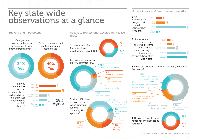## Key state wide observations at a glance



38% Unclear **Process** 

15% Told not to apply

Hours of work and overtime remuneration

1. On



3. If you did not claim overtime payment, what was the reason?



Resident Hospital Health Check Survey 2016 | 4